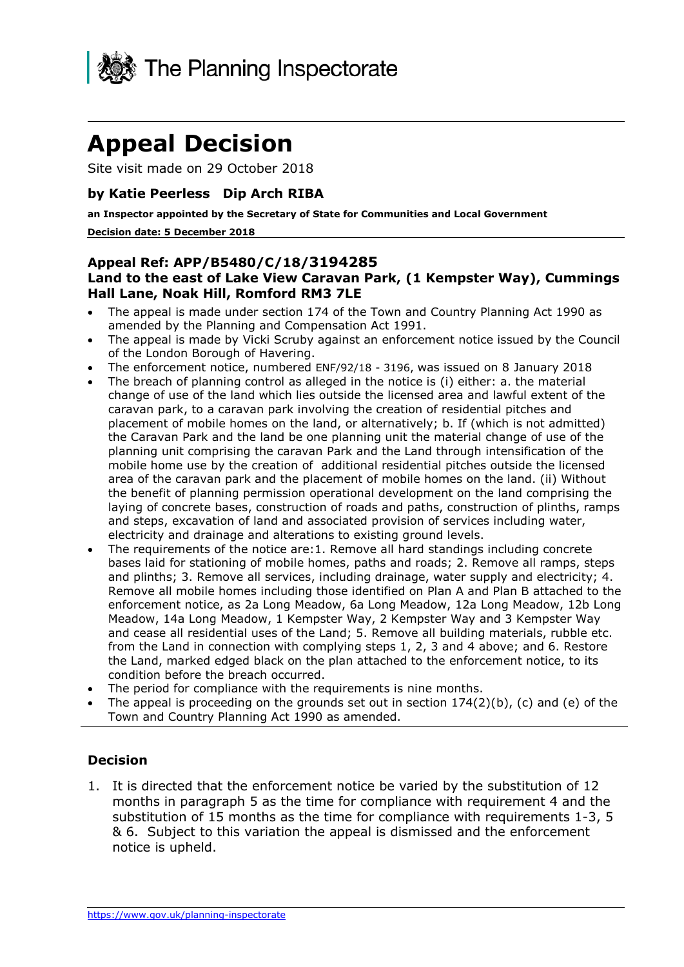

# **Appeal Decision**

Site visit made on 29 October 2018

#### **by Katie Peerless Dip Arch RIBA**

 **an Inspector appointed by the Secretary of State for Communities and Local Government Decision date: 5 December 2018** 

#### **Hall Lane, Noak Hill, Romford RM3 7LE Appeal Ref: APP/B5480/C/18/3194285 Land to the east of Lake View Caravan Park, (1 Kempster Way), Cummings**

- The appeal is made under section 174 of the Town and Country Planning Act 1990 as amended by the Planning and Compensation Act 1991.
- The appeal is made by Vicki Scruby against an enforcement notice issued by the Council of the London Borough of Havering.
- The enforcement notice, numbered ENF/92/18 3196, was issued on 8 January 2018
- the Caravan Park and the land be one planning unit the material change of use of the planning unit comprising the caravan Park and the Land through intensification of the The breach of planning control as alleged in the notice is (i) either: a. the material change of use of the land which lies outside the licensed area and lawful extent of the caravan park, to a caravan park involving the creation of residential pitches and placement of mobile homes on the land, or alternatively; b. If (which is not admitted) mobile home use by the creation of additional residential pitches outside the licensed area of the caravan park and the placement of mobile homes on the land. (ii) Without the benefit of planning permission operational development on the land comprising the laying of concrete bases, construction of roads and paths, construction of plinths, ramps and steps, excavation of land and associated provision of services including water, electricity and drainage and alterations to existing ground levels.
- enforcement notice, as 2a Long Meadow, 6a Long Meadow, 12a Long Meadow, 12b Long and cease all residential uses of the Land; 5. Remove all building materials, rubble etc. The requirements of the notice are:1. Remove all hard standings including concrete bases laid for stationing of mobile homes, paths and roads; 2. Remove all ramps, steps and plinths; 3. Remove all services, including drainage, water supply and electricity; 4. Remove all mobile homes including those identified on Plan A and Plan B attached to the Meadow, 14a Long Meadow, 1 Kempster Way, 2 Kempster Way and 3 Kempster Way from the Land in connection with complying steps 1, 2, 3 and 4 above; and 6. Restore the Land, marked edged black on the plan attached to the enforcement notice, to its condition before the breach occurred.
- The period for compliance with the requirements is nine months.
- The appeal is proceeding on the grounds set out in section  $174(2)(b)$ , (c) and (e) of the Town and Country Planning Act 1990 as amended.

#### **Decision**

 months in paragraph 5 as the time for compliance with requirement 4 and the substitution of 15 months as the time for compliance with requirements 1-3, 5 & 6. Subject to this variation the appeal is dismissed and the enforcement 1. It is directed that the enforcement notice be varied by the substitution of 12 notice is upheld.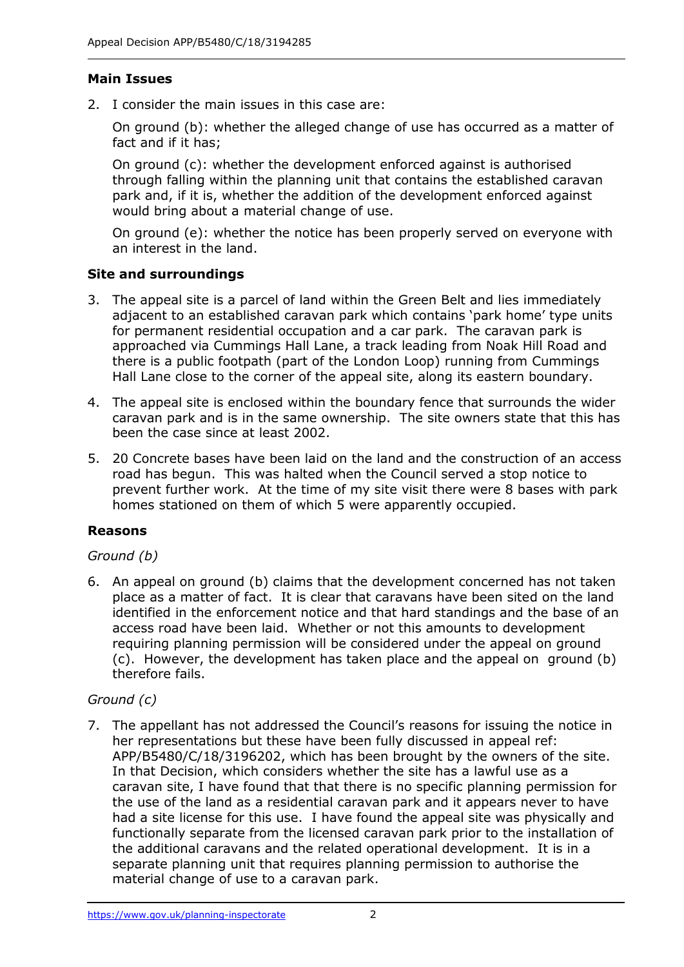# **Main Issues**

2. I consider the main issues in this case are:

 On ground (b): whether the alleged change of use has occurred as a matter of fact and if it has;

 On ground (c): whether the development enforced against is authorised through falling within the planning unit that contains the established caravan park and, if it is, whether the addition of the development enforced against would bring about a material change of use.

 On ground (e): whether the notice has been properly served on everyone with an interest in the land.

# **Site and surroundings**

- 3. The appeal site is a parcel of land within the Green Belt and lies immediately adjacent to an established caravan park which contains 'park home' type units for permanent residential occupation and a car park. The caravan park is approached via Cummings Hall Lane, a track leading from Noak Hill Road and there is a public footpath (part of the London Loop) running from Cummings Hall Lane close to the corner of the appeal site, along its eastern boundary.
- caravan park and is in the same ownership. The site owners state that this has been the case since at least 2002. 4. The appeal site is enclosed within the boundary fence that surrounds the wider
- 5. 20 Concrete bases have been laid on the land and the construction of an access road has begun. This was halted when the Council served a stop notice to prevent further work. At the time of my site visit there were 8 bases with park homes stationed on them of which 5 were apparently occupied.

# **Reasons**

# *Ground (b)*

 place as a matter of fact. It is clear that caravans have been sited on the land identified in the enforcement notice and that hard standings and the base of an access road have been laid. Whether or not this amounts to development requiring planning permission will be considered under the appeal on ground (c). However, the development has taken place and the appeal on ground (b) 6. An appeal on ground (b) claims that the development concerned has not taken therefore fails.

# *Ground (c)*

 7. The appellant has not addressed the Council's reasons for issuing the notice in her representations but these have been fully discussed in appeal ref: APP/B5480/C/18/3196202, which has been brought by the owners of the site. In that Decision, which considers whether the site has a lawful use as a the use of the land as a residential caravan park and it appears never to have had a site license for this use. I have found the appeal site was physically and the additional caravans and the related operational development. It is in a separate planning unit that requires planning permission to authorise the material change of use to a caravan park. caravan site, I have found that that there is no specific planning permission for functionally separate from the licensed caravan park prior to the installation of